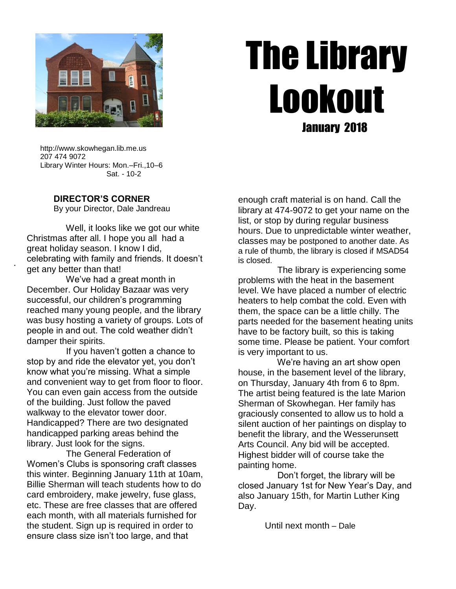

# The Library Lookout January 2018

 http://www.skowhegan.lib.me.us 207 474 9072 Library Winter Hours: Mon.–Fri.,10–6 Sat. - 10-2

#### **DIRECTOR'S CORNER**

.

By your Director, Dale Jandreau

 Well, it looks like we got our white Christmas after all. I hope you all had a great holiday season. I know I did, celebrating with family and friends. It doesn't get any better than that!

 We've had a great month in December. Our Holiday Bazaar was very successful, our children's programming reached many young people, and the library was busy hosting a variety of groups. Lots of people in and out. The cold weather didn't damper their spirits.

 If you haven't gotten a chance to stop by and ride the elevator yet, you don't know what you're missing. What a simple and convenient way to get from floor to floor. You can even gain access from the outside of the building. Just follow the paved walkway to the elevator tower door. Handicapped? There are two designated handicapped parking areas behind the library. Just look for the signs.

 The General Federation of Women's Clubs is sponsoring craft classes this winter. Beginning January 11th at 10am, Billie Sherman will teach students how to do card embroidery, make jewelry, fuse glass, etc. These are free classes that are offered each month, with all materials furnished for the student. Sign up is required in order to ensure class size isn't too large, and that

enough craft material is on hand. Call the library at 474-9072 to get your name on the list, or stop by during regular business hours. Due to unpredictable winter weather, classes may be postponed to another date. As a rule of thumb, the library is closed if MSAD54 is closed.

 The library is experiencing some problems with the heat in the basement level. We have placed a number of electric heaters to help combat the cold. Even with them, the space can be a little chilly. The parts needed for the basement heating units have to be factory built, so this is taking some time. Please be patient. Your comfort is very important to us.

 We're having an art show open house, in the basement level of the library, on Thursday, January 4th from 6 to 8pm. The artist being featured is the late Marion Sherman of Skowhegan. Her family has graciously consented to allow us to hold a silent auction of her paintings on display to benefit the library, and the Wesserunsett Arts Council. Any bid will be accepted. Highest bidder will of course take the painting home.

 Don't forget, the library will be closed January 1st for New Year's Day, and also January 15th, for Martin Luther King Day.

Until next month – Dale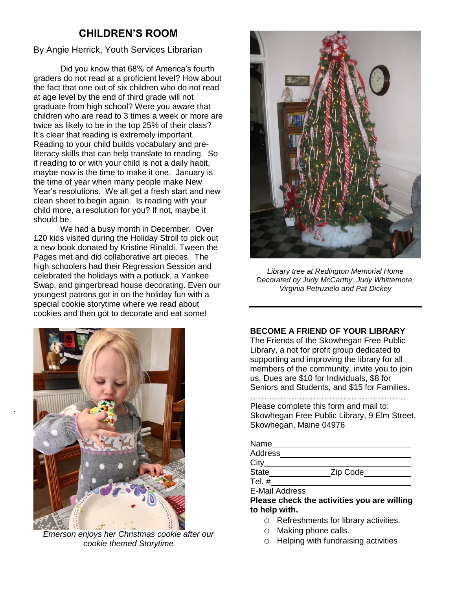# **CHILDREN'S ROOM**

By Angie Herrick, Youth Services Librarian

Did you know that 68% of America's fourth graders do not read at a proficient level? How about the fact that one out of six children who do not read at age level by the end of third grade will not graduate from high school? Were you aware that children who are read to 3 times a week or more are twice as likely to be in the top 25% of their class? It's clear that reading is extremely important. Reading to your child builds vocabulary and preliteracy skills that can help translate to reading. So if reading to or with your child is not a daily habit, maybe now is the time to make it one. January is the time of year when many people make New Year's resolutions. We all get a fresh start and new clean sheet to begin again. Is reading with your child more, a resolution for you? If not, maybe it should be.

We had a busy month in December. Over 120 kids visited during the Holiday Stroll to pick out a new book donated by Kristine Rinaldi. Tween the Pages met and did collaborative art pieces. The high schoolers had their Regression Session and celebrated the holidays with a potluck, a Yankee Swap, and gingerbread house decorating. Even our youngest patrons got in on the holiday fun with a special cookie storytime where we read about cookies and then got to decorate and eat some!



.

*Emerson enjoys her Christmas cookie after our cookie themed Storytime*



*Library tree at Redington Memorial Home Decorated by Judy McCarthy, Judy Whittemore, Virginia Petruzielo and Pat Dickey*

#### **BECOME A FRIEND OF YOUR LIBRARY**

The Friends of the Skowhegan Free Public Library, a not for profit group dedicated to supporting and improving the library for all members of the community, invite you to join us. Dues are \$10 for Individuals, \$8 for Seniors and Students, and \$15 for Families.

#### …………………………………………………

Please complete this form and mail to: Skowhegan Free Public Library, 9 Elm Street, Skowhegan, Maine 04976

| Name                             |               |
|----------------------------------|---------------|
| Address                          |               |
| City                             |               |
| State                            | Zip Code      |
| Tel. $#$                         |               |
| <b>E-Mail Address</b>            |               |
| Dlasse skeels the estimities usu | --- --------- |

**Please check the activities you are willing to help with.**

- o Refreshments for library activities.
- o Making phone calls.
- o Helping with fundraising activities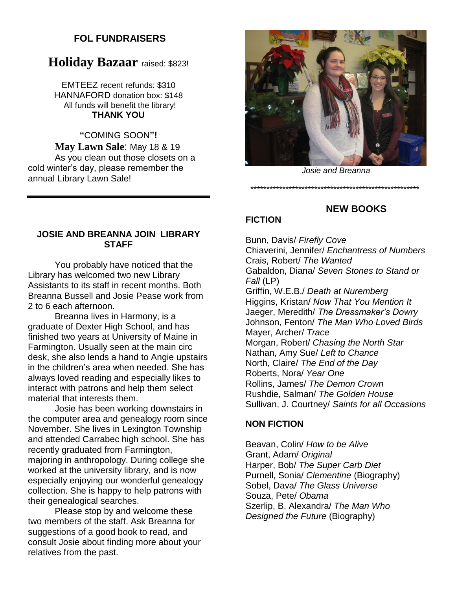## **FOL FUNDRAISERS**

# **Holiday Bazaar** raised: \$823!

EMTEEZ recent refunds: \$310 HANNAFORD donation box: \$148 All funds will benefit the library! **THANK YOU**

**"**COMING SOON**"! May Lawn Sale**: May 18 & 19 As you clean out those closets on a cold winter's day, please remember the annual Library Lawn Sale!

*Josie and Breanna*

*\*\*\*\*\*\*\*\*\*\*\*\*\*\*\*\*\*\*\*\*\*\*\*\*\*\*\*\*\*\*\*\*\*\*\*\*\*\*\*\*\*\*\*\*\*\*\*\*\*\*\*\*\**

**NEW BOOKS**

### **JOSIE AND BREANNA JOIN LIBRARY STAFF**

You probably have noticed that the Library has welcomed two new Library Assistants to its staff in recent months. Both Breanna Bussell and Josie Pease work from 2 to 6 each afternoon.

Breanna lives in Harmony, is a graduate of Dexter High School, and has finished two years at University of Maine in Farmington. Usually seen at the main circ desk, she also lends a hand to Angie upstairs in the children's area when needed. She has always loved reading and especially likes to interact with patrons and help them select material that interests them.

Josie has been working downstairs in the computer area and genealogy room since November. She lives in Lexington Township and attended Carrabec high school. She has recently graduated from Farmington, majoring in anthropology. During college she worked at the university library, and is now especially enjoying our wonderful genealogy collection. She is happy to help patrons with their genealogical searches.

Please stop by and welcome these two members of the staff. Ask Breanna for suggestions of a good book to read, and consult Josie about finding more about your relatives from the past.

# **FICTION**

#### Bunn, Davis/ *Firefly Cove* Chiaverini, Jennifer/ *Enchantress of Numbers* Crais, Robert/ *The Wanted* Gabaldon, Diana/ *Seven Stones to Stand or Fall* (LP) Griffin, W.E.B./ *Death at Nuremberg* Higgins, Kristan/ *Now That You Mention It* Jaeger, Meredith/ *The Dressmaker's Dowry* Johnson, Fenton/ *The Man Who Loved Birds* Mayer, Archer/ *Trace* Morgan, Robert/ *Chasing the North Star* Nathan, Amy Sue/ *Left to Chance* North, Claire/ *The End of the Day* Roberts, Nora/ *Year One* Rollins, James/ *The Demon Crown* Rushdie, Salman/ *The Golden House* Sullivan, J. Courtney/ *Saints for all Occasions*

#### **NON FICTION**

Beavan, Colin/ *How to be Alive* Grant, Adam/ *Original* Harper, Bob/ *The Super Carb Diet* Purnell, Sonia/ *Clementine* (Biography) Sobel, Dava/ *The Glass Universe* Souza, Pete/ *Obama* Szerlip, B. Alexandra/ *The Man Who Designed the Future* (Biography)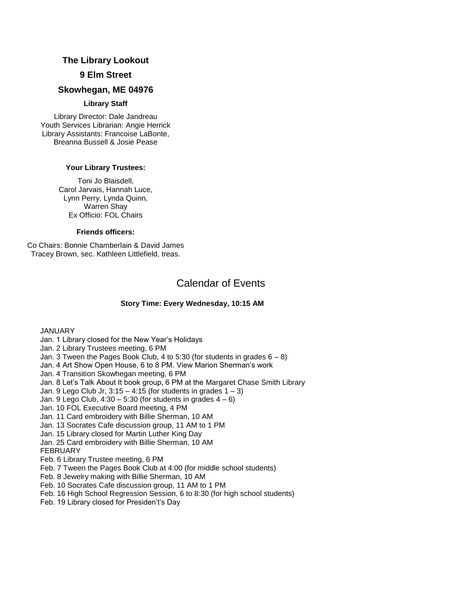#### **The Library Lookout**

#### **9 Elm Street**

#### **Skowhegan, ME 04976**

#### **Library Staff**

Library Director: Dale Jandreau Youth Services Librarian: Angie Herrick Library Assistants: Francoise LaBonte, Breanna Bussell & Josie Pease

#### **Your Library Trustees:**

Toni Jo Blaisdell, Carol Jarvais, Hannah Luce, Lynn Perry, Lynda Quinn, Warren Shay Ex Officio: FOL Chairs

#### **Friends officers:**

Co Chairs: Bonnie Chamberlain & David James Tracey Brown, sec. Kathleen Littlefield, treas.

# Calendar of Events

#### **Story Time: Every Wednesday, 10:15 AM**

JANUARY

Jan. 1 Library closed for the New Year's Holidays Jan. 2 Library Trustees meeting, 6 PM Jan. 3 Tween the Pages Book Club, 4 to 5:30 (for students in grades  $6 - 8$ ) Jan. 4 Art Show Open House, 6 to 8 PM. View Marion Sherman's work Jan. 4 Transition Skowhegan meeting, 6 PM Jan. 8 Let's Talk About It book group, 6 PM at the Margaret Chase Smith Library Jan. 9 Lego Club Jr,  $3:15 - 4:15$  (for students in grades  $1 - 3$ ) Jan. 9 Lego Club,  $4:30 - 5:30$  (for students in grades  $4 - 6$ ) Jan. 10 FOL Executive Board meeting, 4 PM Jan. 11 Card embroidery with Billie Sherman, 10 AM Jan. 13 Socrates Cafe discussion group, 11 AM to 1 PM Jan. 15 Library closed for Martin Luther King Day Jan. 25 Card embroidery with Billie Sherman, 10 AM FEBRUARY Feb. 6 Library Trustee meeting, 6 PM Feb. 7 Tween the Pages Book Club at 4:00 (for middle school students) Feb. 8 Jewelry making with Billie Sherman, 10 AM Feb. 10 Socrates Cafe discussion group, 11 AM to 1 PM Feb. 16 High School Regression Session, 6 to 8:30 (for high school students) Feb. 19 Library closed for Presiden't's Day